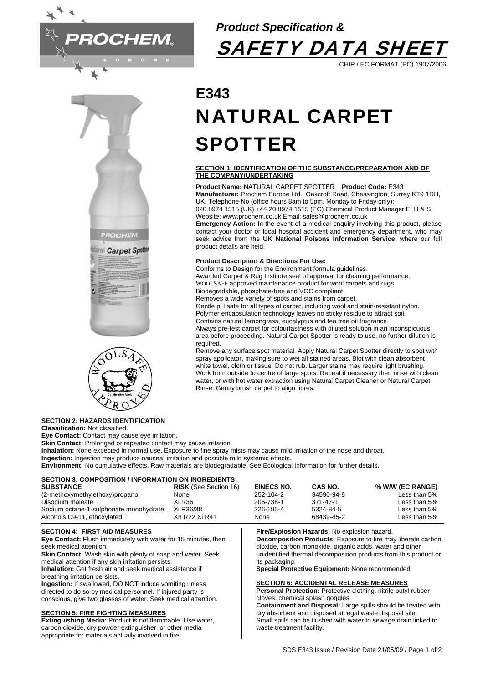







## **SECTION 2: HAZARDS IDENTIFICATION**

**Classification:** Not classified.

**Eye Contact:** Contact may cause eye irritation.

**Skin Contact: Prolonged or repeated contact may cause irritation.** 

**Inhalation:** None expected in normal use. Exposure to fine spray mists may cause mild irritation of the nose and throat.

**Ingestion:** Ingestion may produce nausea, irritation and possible mild systemic effects.

**Environment:** No cumulative effects. Raw materials are biodegradable. See Ecological Information for further details.

#### **SECTION 3: COMPOSITION / INFORMATION ON INGREDIENTS**

| <b>SUBSTANCE</b>                       | <b>RISK</b> (See Section 16) | EINECS NO. | CAS NO.    | % W/W (EC RANGE) |
|----------------------------------------|------------------------------|------------|------------|------------------|
| (2-methoxymethylethoxy)propanol        | None                         | 252-104-2  | 34590-94-8 | Less than 5%     |
| Disodium maleate                       | Xi R36                       | 206-738-1  | 371-47-1   | Less than 5%     |
| Sodium octane-1-sulphonate monohydrate | Xi R36/38                    | 226-195-4  | 5324-84-5  | Less than 5%     |
| Alcohols C9-11, ethoxylated            | Xn R22 Xi R41                | None       | 68439-45-2 | Less than 5%     |

#### **SECTION 4: FIRST AID MEASURES**

**Eye Contact:** Flush immediately with water for 15 minutes, then seek medical attention.

**Skin Contact:** Wash skin with plenty of soap and water. Seek medical attention if any skin irritation persists.

**Inhalation:** Get fresh air and seek medical assistance if breathing irritation persists.

**Ingestion:** If swallowed, DO NOT induce vomiting unless directed to do so by medical personnel. If injured party is conscious, give two glasses of water. Seek medical attention.

## **SECTION 5: FIRE FIGHTING MEASURES**

**Extinguishing Media:** Product is not flammable. Use water, carbon dioxide, dry powder extinguisher, or other media appropriate for materials actually involved in fire.

#### **Fire/Explosion Hazards:** No explosion hazard. **Decomposition Products:** Exposure to fire may liberate carbon

dioxide, carbon monoxide, organic acids, water and other unidentified thermal decomposition products from this product or its packaging.

**Special Protective Equipment:** None recommended.

#### **SECTION 6: ACCIDENTAL RELEASE MEASURES**

**Personal Protection:** Protective clothing, nitrile butyl rubber gloves, chemical splash goggles.

**Containment and Disposal:** Large spills should be treated with dry absorbent and disposed at legal waste disposal site. Small spills can be flushed with water to sewage drain linked to waste treatment facility.

# **E343**  NATURAL CARPET SPOTTER

*Product Specification &* 

#### **SECTION 1: IDENTIFICATION OF THE SUBSTANCE/PREPARATION AND OF THE COMPANY/UNDERTAKING**

**SAFETY DATA SHEET** 

CHIP / EC FORMAT (EC) 1907/2006

**Product Name:** NATURAL CARPET SPOTTER **Product Code:** E343 **Manufacturer:** Prochem Europe Ltd., Oakcroft Road, Chessington, Surrey KT9 1RH, UK. Telephone No (office hours 8am to 5pm, Monday to Friday only): 020 8974 1515 (UK) +44 20 8974 1515 (EC) Chemical Product Manager E, H & S Website: www.prochem.co.uk Email: sales@prochem.co.uk

**Emergency Action:** In the event of a medical enquiry involving this product, please contact your doctor or local hospital accident and emergency department, who may seek advice from the **UK National Poisons Information Service**, where our full product details are held.

#### **Product Description & Directions For Use:**

Conforms to Design for the Environment formula guidelines. Awarded Carpet & Rug Institute seal of approval for cleaning performance. WOOLSAFE approved maintenance product for wool carpets and rugs.

Biodegradable, phosphate-free and VOC compliant.

Removes a wide variety of spots and stains from carpet.

Gentle pH safe for all types of carpet, including wool and stain-resistant nylon. Polymer encapsulation technology leaves no sticky residue to attract soil.

Contains natural lemongrass, eucalyptus and tea tree oil fragrance.

Always pre-test carpet for colourfastness with diluted solution in an inconspicuous area before proceeding. Natural Carpet Spotter is ready to use, no further dilution is

required.

Remove any surface spot material. Apply Natural Carpet Spotter directly to spot with spray applicator, making sure to wet all stained areas. Blot with clean absorbent white towel, cloth or tissue. Do not rub. Larger stains may require light brushing. Work from outside to centre of large spots. Repeat if necessary then rinse with clean water, or with hot water extraction using Natural Carpet Cleaner or Natural Carpet Rinse. Gently brush carpet to align fibres.